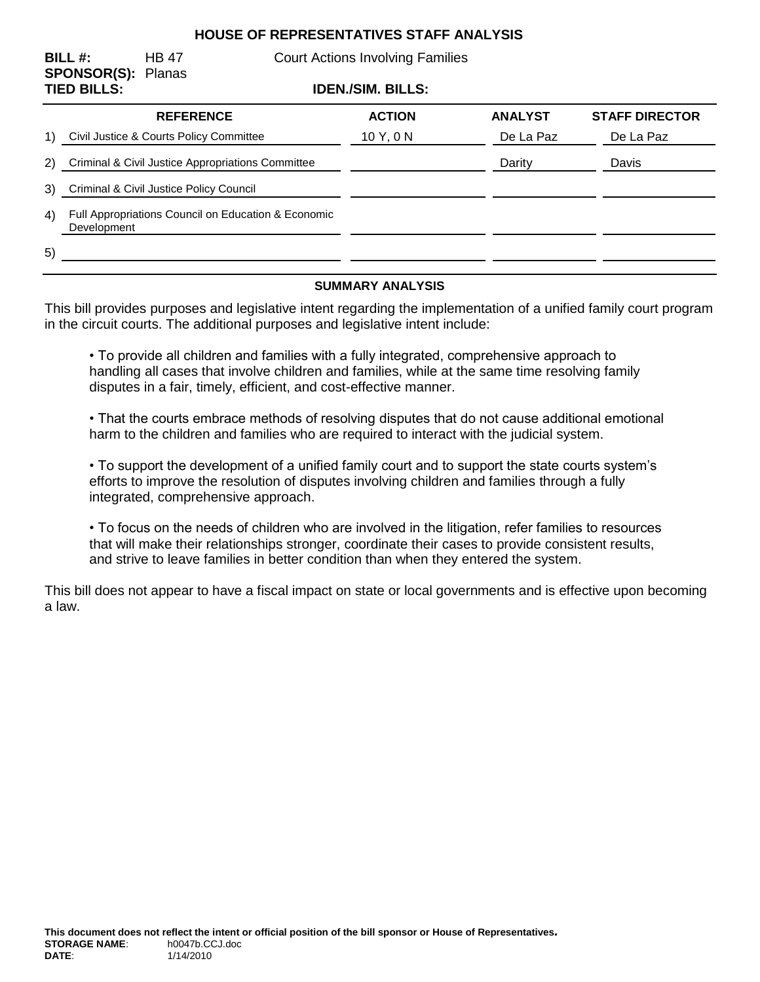## **HOUSE OF REPRESENTATIVES STAFF ANALYSIS**

| BILL #:<br><b>SPONSOR(S): Planas</b><br><b>TIED BILLS:</b> |                                                                    | <b>HB 47</b>     | <b>Court Actions Involving Families</b><br><b>IDEN./SIM. BILLS:</b> |               |                |                       |
|------------------------------------------------------------|--------------------------------------------------------------------|------------------|---------------------------------------------------------------------|---------------|----------------|-----------------------|
|                                                            |                                                                    |                  |                                                                     |               |                |                       |
|                                                            |                                                                    | <b>REFERENCE</b> |                                                                     | <b>ACTION</b> | <b>ANALYST</b> | <b>STAFF DIRECTOR</b> |
| 1)                                                         | Civil Justice & Courts Policy Committee                            |                  |                                                                     | 10 Y, 0 N     | De La Paz      | De La Paz             |
| 2)                                                         | Criminal & Civil Justice Appropriations Committee                  |                  |                                                                     |               | Darity         | Davis                 |
| 3)                                                         | Criminal & Civil Justice Policy Council                            |                  |                                                                     |               |                |                       |
| 4)                                                         | Full Appropriations Council on Education & Economic<br>Development |                  |                                                                     |               |                |                       |
| 5)                                                         |                                                                    |                  |                                                                     |               |                |                       |

#### **SUMMARY ANALYSIS**

This bill provides purposes and legislative intent regarding the implementation of a unified family court program in the circuit courts. The additional purposes and legislative intent include:

• To provide all children and families with a fully integrated, comprehensive approach to handling all cases that involve children and families, while at the same time resolving family disputes in a fair, timely, efficient, and cost-effective manner.

• That the courts embrace methods of resolving disputes that do not cause additional emotional harm to the children and families who are required to interact with the judicial system.

• To support the development of a unified family court and to support the state courts system's efforts to improve the resolution of disputes involving children and families through a fully integrated, comprehensive approach.

• To focus on the needs of children who are involved in the litigation, refer families to resources that will make their relationships stronger, coordinate their cases to provide consistent results, and strive to leave families in better condition than when they entered the system.

This bill does not appear to have a fiscal impact on state or local governments and is effective upon becoming a law.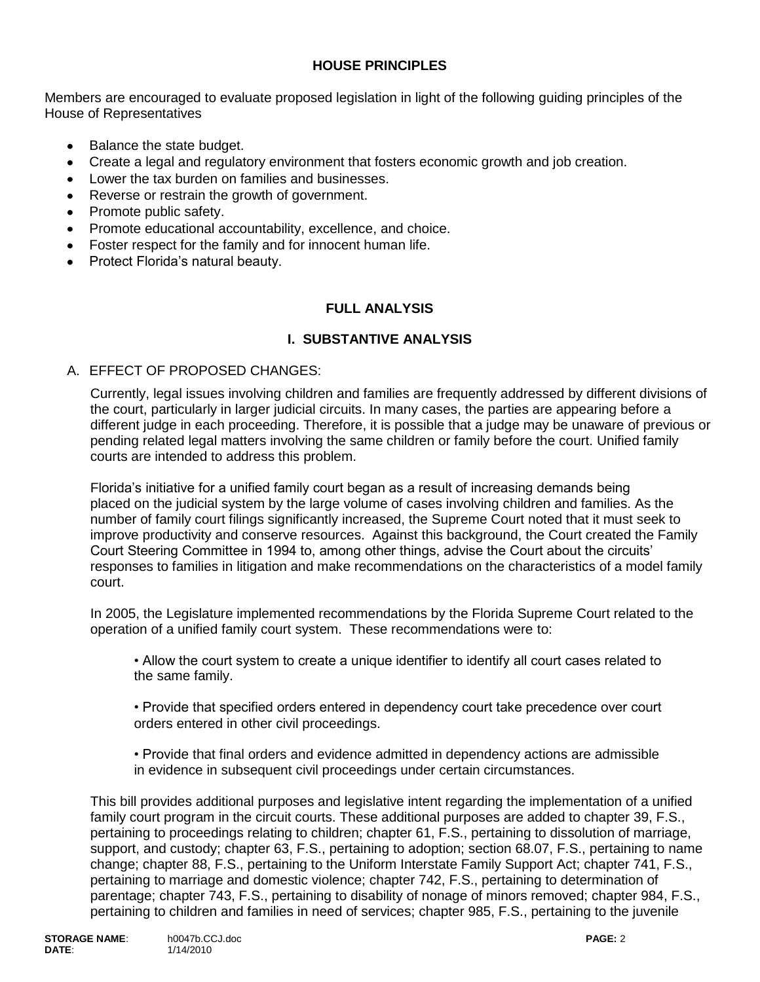## **HOUSE PRINCIPLES**

Members are encouraged to evaluate proposed legislation in light of the following guiding principles of the House of Representatives

- Balance the state budget.
- Create a legal and regulatory environment that fosters economic growth and job creation.  $\bullet$
- Lower the tax burden on families and businesses.
- Reverse or restrain the growth of government.
- Promote public safety.
- Promote educational accountability, excellence, and choice.
- Foster respect for the family and for innocent human life.
- Protect Florida's natural beauty.

## **FULL ANALYSIS**

#### **I. SUBSTANTIVE ANALYSIS**

#### A. EFFECT OF PROPOSED CHANGES:

Currently, legal issues involving children and families are frequently addressed by different divisions of the court, particularly in larger judicial circuits. In many cases, the parties are appearing before a different judge in each proceeding. Therefore, it is possible that a judge may be unaware of previous or pending related legal matters involving the same children or family before the court. Unified family courts are intended to address this problem.

Florida's initiative for a unified family court began as a result of increasing demands being placed on the judicial system by the large volume of cases involving children and families. As the number of family court filings significantly increased, the Supreme Court noted that it must seek to improve productivity and conserve resources. Against this background, the Court created the Family Court Steering Committee in 1994 to, among other things, advise the Court about the circuits' responses to families in litigation and make recommendations on the characteristics of a model family court.

In 2005, the Legislature implemented recommendations by the Florida Supreme Court related to the operation of a unified family court system. These recommendations were to:

• Allow the court system to create a unique identifier to identify all court cases related to the same family.

• Provide that specified orders entered in dependency court take precedence over court orders entered in other civil proceedings.

• Provide that final orders and evidence admitted in dependency actions are admissible in evidence in subsequent civil proceedings under certain circumstances.

This bill provides additional purposes and legislative intent regarding the implementation of a unified family court program in the circuit courts. These additional purposes are added to chapter 39, F.S., pertaining to proceedings relating to children; chapter 61, F.S., pertaining to dissolution of marriage, support, and custody; chapter 63, F.S., pertaining to adoption; section 68.07, F.S., pertaining to name change; chapter 88, F.S., pertaining to the Uniform Interstate Family Support Act; chapter 741, F.S., pertaining to marriage and domestic violence; chapter 742, F.S., pertaining to determination of parentage; chapter 743, F.S., pertaining to disability of nonage of minors removed; chapter 984, F.S., pertaining to children and families in need of services; chapter 985, F.S., pertaining to the juvenile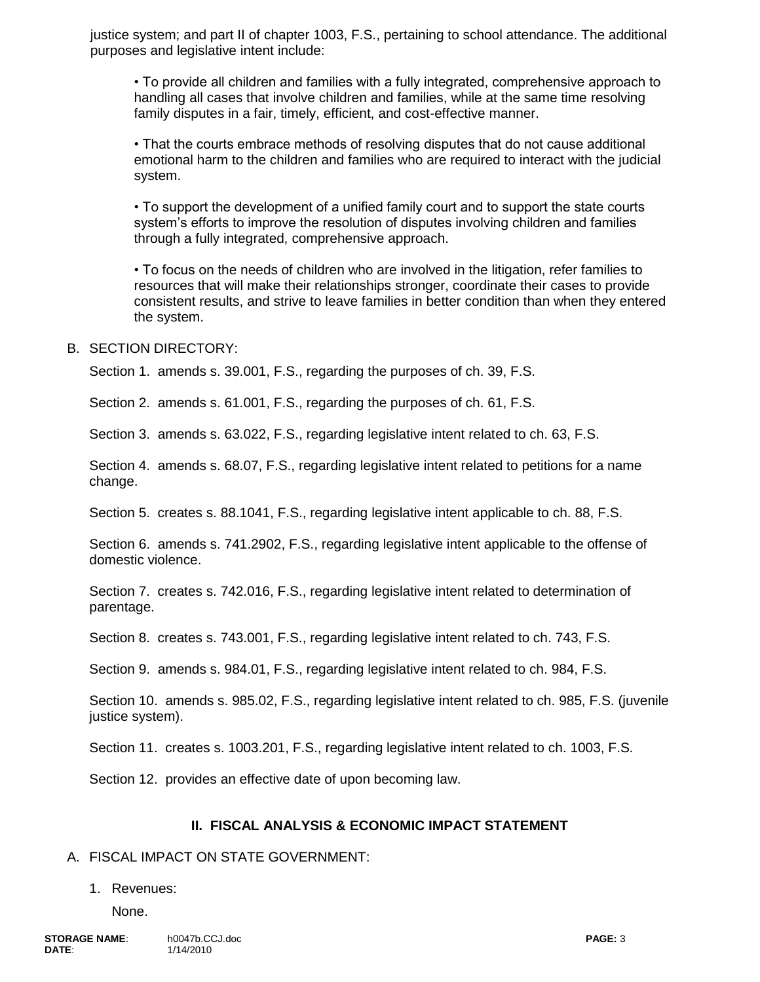justice system; and part II of chapter 1003, F.S., pertaining to school attendance. The additional purposes and legislative intent include:

• To provide all children and families with a fully integrated, comprehensive approach to handling all cases that involve children and families, while at the same time resolving family disputes in a fair, timely, efficient, and cost-effective manner.

• That the courts embrace methods of resolving disputes that do not cause additional emotional harm to the children and families who are required to interact with the judicial system.

• To support the development of a unified family court and to support the state courts system's efforts to improve the resolution of disputes involving children and families through a fully integrated, comprehensive approach.

• To focus on the needs of children who are involved in the litigation, refer families to resources that will make their relationships stronger, coordinate their cases to provide consistent results, and strive to leave families in better condition than when they entered the system.

#### B. SECTION DIRECTORY:

Section 1. amends s. 39.001, F.S., regarding the purposes of ch. 39, F.S.

Section 2. amends s. 61.001, F.S., regarding the purposes of ch. 61, F.S.

Section 3. amends s. 63.022, F.S., regarding legislative intent related to ch. 63, F.S.

Section 4. amends s. 68.07, F.S., regarding legislative intent related to petitions for a name change.

Section 5. creates s. 88.1041, F.S., regarding legislative intent applicable to ch. 88, F.S.

Section 6. amends s. 741.2902, F.S., regarding legislative intent applicable to the offense of domestic violence.

Section 7. creates s. 742.016, F.S., regarding legislative intent related to determination of parentage.

Section 8. creates s. 743.001, F.S., regarding legislative intent related to ch. 743, F.S.

Section 9. amends s. 984.01, F.S., regarding legislative intent related to ch. 984, F.S.

Section 10. amends s. 985.02, F.S., regarding legislative intent related to ch. 985, F.S. (juvenile justice system).

Section 11. creates s. 1003.201, F.S., regarding legislative intent related to ch. 1003, F.S.

Section 12. provides an effective date of upon becoming law.

#### **II. FISCAL ANALYSIS & ECONOMIC IMPACT STATEMENT**

#### A. FISCAL IMPACT ON STATE GOVERNMENT:

#### 1. Revenues:

None.